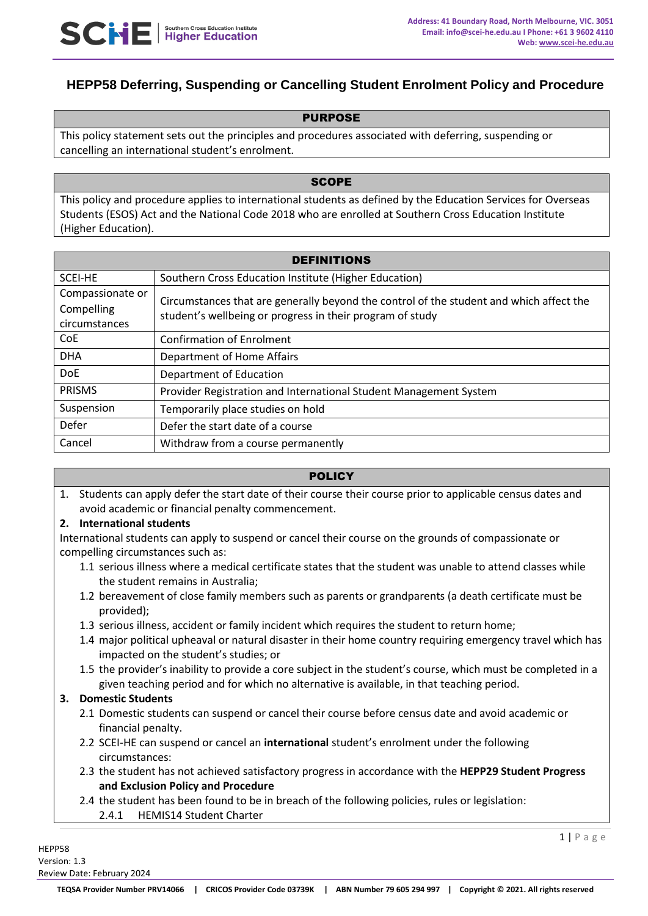# **HEPP58 Deferring, Suspending or Cancelling Student Enrolment Policy and Procedure**

### PURPOSE

This policy statement sets out the principles and procedures associated with deferring, suspending or cancelling an international student's enrolment.

#### **SCOPE**

This policy and procedure applies to international students as defined by the Education Services for Overseas Students (ESOS) Act and the National Code 2018 who are enrolled at Southern Cross Education Institute (Higher Education).

| <b>DEFINITIONS</b> |                                                                                                                                                      |  |
|--------------------|------------------------------------------------------------------------------------------------------------------------------------------------------|--|
| SCEI-HE            | Southern Cross Education Institute (Higher Education)                                                                                                |  |
| Compassionate or   | Circumstances that are generally beyond the control of the student and which affect the<br>student's wellbeing or progress in their program of study |  |
| Compelling         |                                                                                                                                                      |  |
| circumstances      |                                                                                                                                                      |  |
| CoE                | <b>Confirmation of Enrolment</b>                                                                                                                     |  |
| <b>DHA</b>         | Department of Home Affairs                                                                                                                           |  |
| <b>DoE</b>         | Department of Education                                                                                                                              |  |
| <b>PRISMS</b>      | Provider Registration and International Student Management System                                                                                    |  |
| Suspension         | Temporarily place studies on hold                                                                                                                    |  |
| Defer              | Defer the start date of a course                                                                                                                     |  |
| Cancel             | Withdraw from a course permanently                                                                                                                   |  |

### **POLICY**

1. Students can apply defer the start date of their course their course prior to applicable census dates and avoid academic or financial penalty commencement.

### **2. International students**

International students can apply to suspend or cancel their course on the grounds of compassionate or compelling circumstances such as:

- 1.1 serious illness where a medical certificate states that the student was unable to attend classes while the student remains in Australia;
- 1.2 bereavement of close family members such as parents or grandparents (a death certificate must be provided);
- 1.3 serious illness, accident or family incident which requires the student to return home;
- 1.4 major political upheaval or natural disaster in their home country requiring emergency travel which has impacted on the student's studies; or
- 1.5 the provider's inability to provide a core subject in the student's course, which must be completed in a given teaching period and for which no alternative is available, in that teaching period.

### **3. Domestic Students**

- 2.1 Domestic students can suspend or cancel their course before census date and avoid academic or financial penalty.
- 2.2 SCEI-HE can suspend or cancel an **international** student's enrolment under the following circumstances:
- 2.3 the student has not achieved satisfactory progress in accordance with the **HEPP29 Student Progress and Exclusion Policy and Procedure**
- 2.4 the student has been found to be in breach of the following policies, rules or legislation:
	- 2.4.1 HEMIS14 Student Charter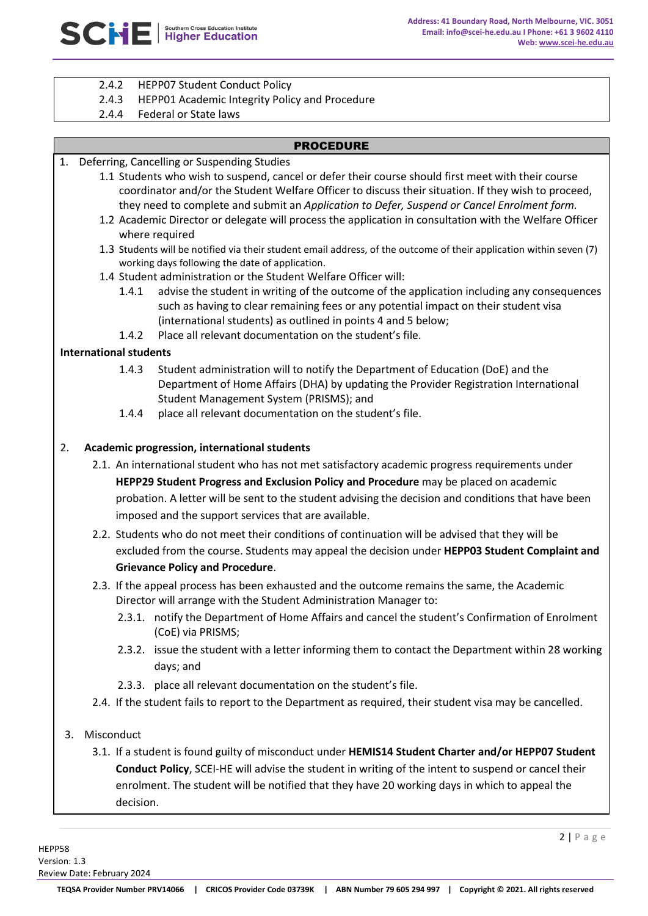- 2.4.2 HEPP07 Student Conduct Policy
- 2.4.3 HEPP01 Academic Integrity Policy and Procedure
- 2.4.4 Federal or State laws

### PROCEDURE

- 1. Deferring, Cancelling or Suspending Studies
	- 1.1 Students who wish to suspend, cancel or defer their course should first meet with their course coordinator and/or the Student Welfare Officer to discuss their situation. If they wish to proceed, they need to complete and submit an *Application to Defer, Suspend or Cancel Enrolment form.*
	- 1.2 Academic Director or delegate will process the application in consultation with the Welfare Officer where required
	- 1.3 Students will be notified via their student email address, of the outcome of their application within seven (7) working days following the date of application.
	- 1.4 Student administration or the Student Welfare Officer will:
		- 1.4.1 advise the student in writing of the outcome of the application including any consequences such as having to clear remaining fees or any potential impact on their student visa (international students) as outlined in points 4 and 5 below;
		- 1.4.2 Place all relevant documentation on the student's file.

### **International students**

- 1.4.3 Student administration will to notify the Department of Education (DoE) and the Department of Home Affairs (DHA) by updating the Provider Registration International Student Management System (PRISMS); and
- 1.4.4 place all relevant documentation on the student's file.

### 2. **Academic progression, international students**

- 2.1. An international student who has not met satisfactory academic progress requirements under **HEPP29 Student Progress and Exclusion Policy and Procedure** may be placed on academic probation. A letter will be sent to the student advising the decision and conditions that have been imposed and the support services that are available.
- 2.2. Students who do not meet their conditions of continuation will be advised that they will be excluded from the course. Students may appeal the decision under **HEPP03 Student Complaint and Grievance Policy and Procedure**.
- 2.3. If the appeal process has been exhausted and the outcome remains the same, the Academic Director will arrange with the Student Administration Manager to:
	- 2.3.1. notify the Department of Home Affairs and cancel the student's Confirmation of Enrolment (CoE) via PRISMS;
	- 2.3.2. issue the student with a letter informing them to contact the Department within 28 working days; and
	- 2.3.3. place all relevant documentation on the student's file.
- 2.4. If the student fails to report to the Department as required, their student visa may be cancelled.

### 3. Misconduct

3.1. If a student is found guilty of misconduct under **HEMIS14 Student Charter and/or HEPP07 Student Conduct Policy**, SCEI-HE will advise the student in writing of the intent to suspend or cancel their enrolment. The student will be notified that they have 20 working days in which to appeal the decision.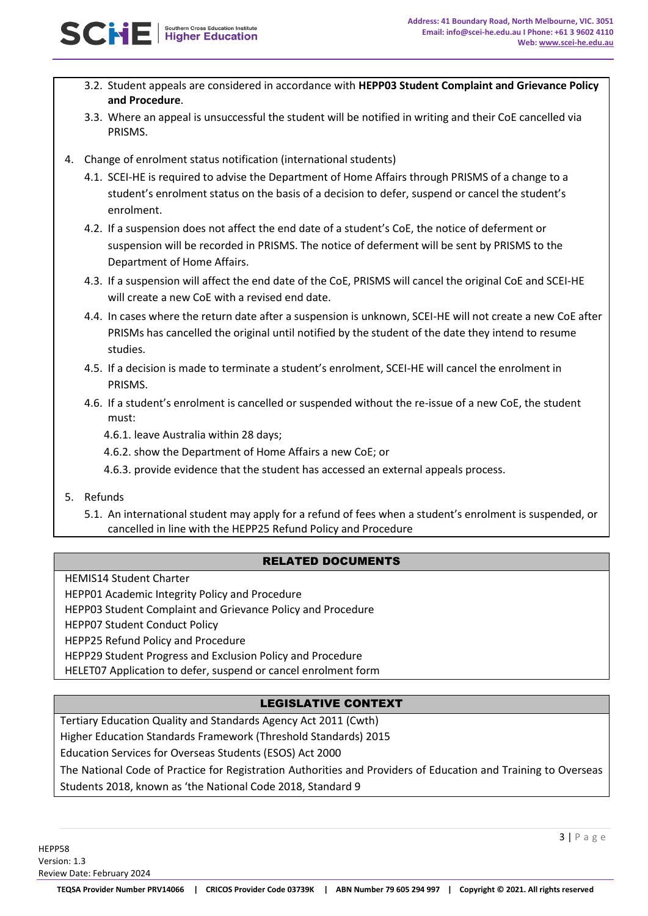- 3.2. Student appeals are considered in accordance with **HEPP03 Student Complaint and Grievance Policy and Procedure**.
- 3.3. Where an appeal is unsuccessful the student will be notified in writing and their CoE cancelled via PRISMS.
- 4. Change of enrolment status notification (international students)
	- 4.1. SCEI-HE is required to advise the Department of Home Affairs through PRISMS of a change to a student's enrolment status on the basis of a decision to defer, suspend or cancel the student's enrolment.
	- 4.2. If a suspension does not affect the end date of a student's CoE, the notice of deferment or suspension will be recorded in PRISMS. The notice of deferment will be sent by PRISMS to the Department of Home Affairs.
	- 4.3. If a suspension will affect the end date of the CoE, PRISMS will cancel the original CoE and SCEI-HE will create a new CoE with a revised end date.
	- 4.4. In cases where the return date after a suspension is unknown, SCEI-HE will not create a new CoE after PRISMs has cancelled the original until notified by the student of the date they intend to resume studies.
	- 4.5. If a decision is made to terminate a student's enrolment, SCEI-HE will cancel the enrolment in PRISMS.
	- 4.6. If a student's enrolment is cancelled or suspended without the re-issue of a new CoE, the student must:
		- 4.6.1. leave Australia within 28 days;
		- 4.6.2. show the Department of Home Affairs a new CoE; or
		- 4.6.3. provide evidence that the student has accessed an external appeals process.
- 5. Refunds
	- 5.1. An international student may apply for a refund of fees when a student's enrolment is suspended, or cancelled in line with the HEPP25 Refund Policy and Procedure

# RELATED DOCUMENTS

- HEMIS14 Student Charter
- HEPP01 Academic Integrity Policy and Procedure

HEPP03 Student Complaint and Grievance Policy and Procedure

HEPP07 Student Conduct Policy

HEPP25 Refund Policy and Procedure

HEPP29 Student Progress and Exclusion Policy and Procedure

HELET07 Application to defer, suspend or cancel enrolment form

# LEGISLATIVE CONTEXT

Tertiary Education Quality and Standards Agency Act 2011 (Cwth) Higher Education Standards Framework (Threshold Standards) 2015

Education Services for Overseas Students (ESOS) Act 2000

The National Code of Practice for Registration Authorities and Providers of Education and Training to Overseas Students 2018, known as 'the National Code 2018, Standard 9